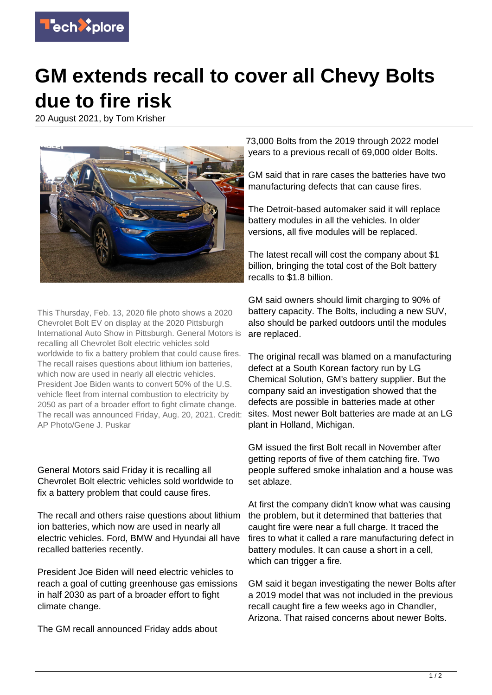

## **GM extends recall to cover all Chevy Bolts due to fire risk**

20 August 2021, by Tom Krisher



This Thursday, Feb. 13, 2020 file photo shows a 2020 Chevrolet Bolt EV on display at the 2020 Pittsburgh International Auto Show in Pittsburgh. General Motors is recalling all Chevrolet Bolt electric vehicles sold worldwide to fix a battery problem that could cause fires. The recall raises questions about lithium ion batteries, which now are used in nearly all electric vehicles. President Joe Biden wants to convert 50% of the U.S. vehicle fleet from internal combustion to electricity by 2050 as part of a broader effort to fight climate change. The recall was announced Friday, Aug. 20, 2021. Credit: AP Photo/Gene J. Puskar

General Motors said Friday it is recalling all Chevrolet Bolt electric vehicles sold worldwide to fix a battery problem that could cause fires.

The recall and others raise questions about lithium ion batteries, which now are used in nearly all electric vehicles. Ford, BMW and Hyundai all have recalled batteries recently.

President Joe Biden will need electric vehicles to reach a goal of cutting greenhouse gas emissions in half 2030 as part of a broader effort to fight climate change.

The GM recall announced Friday adds about

73,000 Bolts from the 2019 through 2022 model years to a previous recall of 69,000 older Bolts.

GM said that in rare cases the batteries have two manufacturing defects that can cause fires.

The Detroit-based automaker said it will replace battery modules in all the vehicles. In older versions, all five modules will be replaced.

The latest recall will cost the company about \$1 billion, bringing the total cost of the Bolt battery recalls to \$1.8 billion.

GM said owners should limit charging to 90% of battery capacity. The Bolts, including a new SUV, also should be parked outdoors until the modules are replaced.

The original recall was blamed on a manufacturing defect at a South Korean factory run by LG Chemical Solution, GM's battery supplier. But the company said an investigation showed that the defects are possible in batteries made at other sites. Most newer Bolt batteries are made at an LG plant in Holland, Michigan.

GM issued the first Bolt recall in November after getting reports of five of them catching fire. Two people suffered smoke inhalation and a house was set ablaze.

At first the company didn't know what was causing the problem, but it determined that batteries that caught fire were near a full charge. It traced the fires to what it called a rare manufacturing defect in battery modules. It can cause a short in a cell, which can trigger a fire.

GM said it began investigating the newer Bolts after a 2019 model that was not included in the previous recall caught fire a few weeks ago in Chandler, Arizona. That raised concerns about newer Bolts.